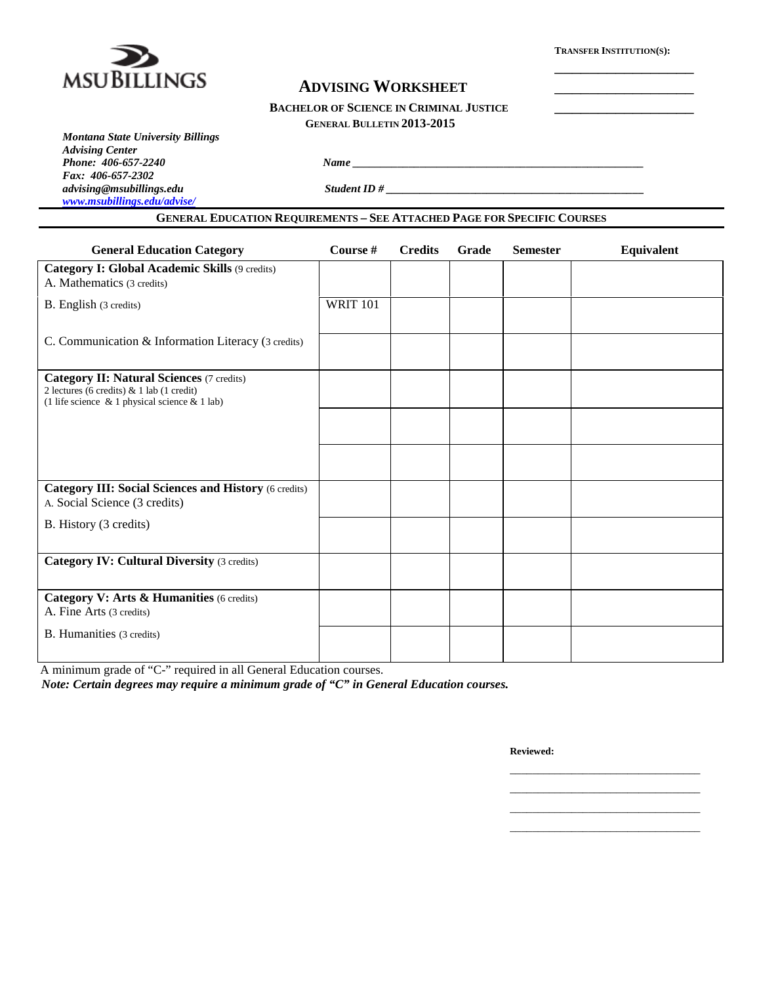

\_\_\_\_\_\_\_\_\_\_\_\_\_\_\_\_

# **ADVISING WORKSHEET** \_\_\_\_\_\_\_\_\_\_\_\_\_\_\_\_

*Phone <u>2067-2240 <i>Name*</u> <u>2067-2240 *Name* 2067-2240 *Name* 2067-2240 *Name* 2067-2240 *Name* 2067-2240 *Name* 2067-2240 *Name* 2067-2240 *Name* 2067-2240 *Name* 2067-2240 *Name* 2067-2240 *Name* 2</u>

### **GENERAL BULLETIN 2013-2015**

| <b>Montana State University Billings</b> |
|------------------------------------------|
| <b>Advising Center</b>                   |
| Phone: 406-657-2240                      |
| Fax: 406-657-2302                        |
| advising@msubillings.edu                 |
| www.msubillings.edu/advise/              |

*advising@msubillings.edu Student ID # \_\_\_\_\_\_\_\_\_\_\_\_\_\_\_\_\_\_\_\_\_\_\_\_\_\_\_\_\_\_\_\_\_\_\_\_\_\_\_\_\_\_\_\_\_\_*

## **GENERAL EDUCATION REQUIREMENTS – SEE ATTACHED PAGE FOR SPECIFIC COURSES**

| <b>General Education Category</b>                                                                                                              | Course #        | <b>Credits</b> | Grade | <b>Semester</b> | Equivalent |
|------------------------------------------------------------------------------------------------------------------------------------------------|-----------------|----------------|-------|-----------------|------------|
| Category I: Global Academic Skills (9 credits)<br>A. Mathematics (3 credits)                                                                   |                 |                |       |                 |            |
| B. English (3 credits)                                                                                                                         | <b>WRIT 101</b> |                |       |                 |            |
| C. Communication & Information Literacy (3 credits)                                                                                            |                 |                |       |                 |            |
| <b>Category II: Natural Sciences (7 credits)</b><br>2 lectures (6 credits) & 1 lab (1 credit)<br>(1 life science & 1 physical science & 1 lab) |                 |                |       |                 |            |
|                                                                                                                                                |                 |                |       |                 |            |
|                                                                                                                                                |                 |                |       |                 |            |
| <b>Category III: Social Sciences and History (6 credits)</b><br>A. Social Science (3 credits)                                                  |                 |                |       |                 |            |
| B. History (3 credits)                                                                                                                         |                 |                |       |                 |            |
| <b>Category IV: Cultural Diversity (3 credits)</b>                                                                                             |                 |                |       |                 |            |
| Category V: Arts & Humanities (6 credits)<br>A. Fine Arts (3 credits)                                                                          |                 |                |       |                 |            |
| B. Humanities (3 credits)                                                                                                                      |                 |                |       |                 |            |

A minimum grade of "C-" required in all General Education courses.

*Note: Certain degrees may require a minimum grade of "C" in General Education courses.*

**Reviewed:**

\_\_\_\_\_\_\_\_\_\_\_\_\_\_\_\_\_\_\_\_\_\_\_\_\_\_\_\_\_\_\_\_\_\_ \_\_\_\_\_\_\_\_\_\_\_\_\_\_\_\_\_\_\_\_\_\_\_\_\_\_\_\_\_\_\_\_\_\_ \_\_\_\_\_\_\_\_\_\_\_\_\_\_\_\_\_\_\_\_\_\_\_\_\_\_\_\_\_\_\_\_\_\_ \_\_\_\_\_\_\_\_\_\_\_\_\_\_\_\_\_\_\_\_\_\_\_\_\_\_\_\_\_\_\_\_\_\_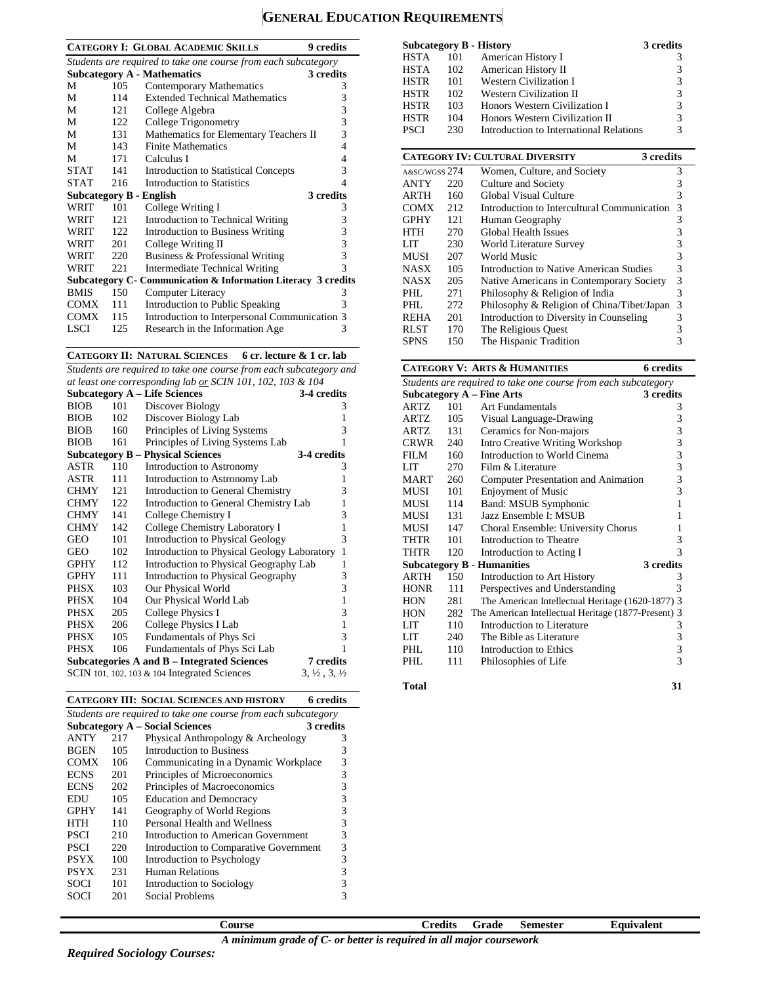# **GENERAL EDUCATION REQUIREMENTS**

|                                                                |      | <b>CATEGORY I: GLOBAL ACADEMIC SKILLS</b><br><b>9</b> credits |   |  |  |  |  |
|----------------------------------------------------------------|------|---------------------------------------------------------------|---|--|--|--|--|
| Students are required to take one course from each subcategory |      |                                                               |   |  |  |  |  |
|                                                                |      | <b>Subcategory A - Mathematics</b><br>3 credits               |   |  |  |  |  |
| М                                                              | 105  | Contemporary Mathematics                                      | 3 |  |  |  |  |
| М                                                              | 114  | <b>Extended Technical Mathematics</b>                         | 3 |  |  |  |  |
| М                                                              | 121  | College Algebra                                               | 3 |  |  |  |  |
| М                                                              | 122  | College Trigonometry                                          | 3 |  |  |  |  |
| М                                                              | 131  | Mathematics for Elementary Teachers II                        | 3 |  |  |  |  |
| М                                                              | 143  | <b>Finite Mathematics</b>                                     | 4 |  |  |  |  |
| М                                                              | 171  | Calculus I                                                    | 4 |  |  |  |  |
| <b>STAT</b>                                                    | 141  | <b>Introduction to Statistical Concepts</b>                   | 3 |  |  |  |  |
| <b>STAT</b>                                                    | 216  | Introduction to Statistics                                    | 4 |  |  |  |  |
|                                                                |      | 3 credits<br><b>Subcategory B - English</b>                   |   |  |  |  |  |
| WRIT                                                           | 101  | College Writing I                                             | 3 |  |  |  |  |
| WRIT                                                           | 12.1 | Introduction to Technical Writing                             | 3 |  |  |  |  |
| WRIT                                                           | 122  | <b>Introduction to Business Writing</b>                       | 3 |  |  |  |  |
| WRIT                                                           | 201  | College Writing II                                            | 3 |  |  |  |  |
| WRIT                                                           | 220  | Business & Professional Writing                               | 3 |  |  |  |  |
| WRIT                                                           | 22.1 | <b>Intermediate Technical Writing</b>                         | 3 |  |  |  |  |
|                                                                |      | Subcategory C- Communication & Information Literacy 3 credits |   |  |  |  |  |
| <b>BMIS</b>                                                    | 150  | Computer Literacy                                             | 3 |  |  |  |  |
| COMX                                                           | 111  | Introduction to Public Speaking                               | 3 |  |  |  |  |
| <b>COMX</b>                                                    | 115  | Introduction to Interpersonal Communication 3                 |   |  |  |  |  |
| LSCI                                                           | 125  | Research in the Information Age                               | 3 |  |  |  |  |
|                                                                |      |                                                               |   |  |  |  |  |

**CATEGORY II: NATURAL SCIENCES 6 cr. lecture & 1 cr. lab**

*Students are required to take one course from each subcategory and at least one corresponding lab or SCIN 101, 102, 103 & 104*

|             |     | <b>Subcategory A - Life Sciences</b>         | 3-4 credits                      |
|-------------|-----|----------------------------------------------|----------------------------------|
| <b>BIOB</b> | 101 | Discover Biology                             | 3                                |
| <b>BIOB</b> | 102 | Discover Biology Lab                         | 1                                |
| <b>BIOB</b> | 160 | Principles of Living Systems                 | 3                                |
| <b>BIOB</b> | 161 | Principles of Living Systems Lab             | 1                                |
|             |     | <b>Subcategory B – Physical Sciences</b>     | 3-4 credits                      |
| ASTR        | 110 | Introduction to Astronomy                    | 3                                |
| ASTR        | 111 | Introduction to Astronomy Lab                | 1                                |
| <b>CHMY</b> | 121 | Introduction to General Chemistry            | 3                                |
| <b>CHMY</b> | 122 | Introduction to General Chemistry Lab        | 1                                |
| <b>CHMY</b> | 141 | College Chemistry I                          | 3                                |
| <b>CHMY</b> | 142 | College Chemistry Laboratory I               | 1                                |
| GEO         | 101 | <b>Introduction to Physical Geology</b>      | 3                                |
| <b>GEO</b>  | 102 | Introduction to Physical Geology Laboratory  | $\mathbf{1}$                     |
| <b>GPHY</b> | 112 | Introduction to Physical Geography Lab       | 1                                |
| <b>GPHY</b> | 111 | <b>Introduction to Physical Geography</b>    | 3                                |
| PHSX        | 103 | Our Physical World                           | 3                                |
| PHSX        | 104 | Our Physical World Lab                       | $\mathbf{1}$                     |
| PHSX        | 205 | College Physics I                            | 3                                |
| PHSX        | 206 | College Physics I Lab                        | 1                                |
| PHSX        | 105 | Fundamentals of Phys Sci                     | 3                                |
| <b>PHSX</b> | 106 | Fundamentals of Phys Sci Lab                 | 1                                |
|             |     | Subcategories A and B – Integrated Sciences  | 7 credits                        |
|             |     | SCIN 101, 102, 103 & 104 Integrated Sciences | $3, \frac{1}{2}, 3, \frac{1}{2}$ |

| <b>CATEGORY III: SOCIAL SCIENCES AND HISTORY</b> | 6 credits |
|--------------------------------------------------|-----------|
|                                                  |           |

| Students are required to take one course from each subcategory |     |                                        |   |  |  |  |  |  |
|----------------------------------------------------------------|-----|----------------------------------------|---|--|--|--|--|--|
| 3 credits<br><b>Subcategory A – Social Sciences</b>            |     |                                        |   |  |  |  |  |  |
| <b>ANTY</b>                                                    | 217 | Physical Anthropology & Archeology     | 3 |  |  |  |  |  |
| <b>BGEN</b>                                                    | 105 | Introduction to Business               | 3 |  |  |  |  |  |
| <b>COMX</b>                                                    | 106 | Communicating in a Dynamic Workplace   | 3 |  |  |  |  |  |
| <b>ECNS</b>                                                    | 201 | Principles of Microeconomics           | 3 |  |  |  |  |  |
| <b>ECNS</b>                                                    | 202 | Principles of Macroeconomics           | 3 |  |  |  |  |  |
| <b>EDU</b>                                                     | 105 | <b>Education and Democracy</b>         | 3 |  |  |  |  |  |
| <b>GPHY</b>                                                    | 141 | Geography of World Regions             | 3 |  |  |  |  |  |
| HTH                                                            | 110 | Personal Health and Wellness           | 3 |  |  |  |  |  |
| <b>PSCI</b>                                                    | 210 | Introduction to American Government    | 3 |  |  |  |  |  |
| <b>PSCI</b>                                                    | 220 | Introduction to Comparative Government | 3 |  |  |  |  |  |
| <b>PSYX</b>                                                    | 100 | Introduction to Psychology             | 3 |  |  |  |  |  |
| PSYX                                                           | 231 | <b>Human Relations</b>                 | 3 |  |  |  |  |  |
| SOCI                                                           | 101 | Introduction to Sociology              | 3 |  |  |  |  |  |
| SOCI                                                           | 201 | Social Problems                        |   |  |  |  |  |  |

|               |     | 3 credits<br><b>Subcategory B - History</b>         |                         |
|---------------|-----|-----------------------------------------------------|-------------------------|
| <b>HSTA</b>   | 101 | American History I                                  | 3                       |
| <b>HSTA</b>   | 102 | American History II                                 | 3                       |
| <b>HSTR</b>   | 101 | Western Civilization I                              | 3                       |
| <b>HSTR</b>   | 102 | <b>Western Civilization II</b>                      | 3                       |
| <b>HSTR</b>   | 103 | Honors Western Civilization I                       | 3                       |
| <b>HSTR</b>   | 104 | Honors Western Civilization II                      | $\overline{3}$          |
| <b>PSCI</b>   | 230 | Introduction to International Relations             | 3                       |
|               |     |                                                     |                         |
|               |     | <b>CATEGORY IV: CULTURAL DIVERSITY</b><br>3 credits |                         |
| A&SC/WGSS 274 |     | Women, Culture, and Society                         | 3                       |
| <b>ANTY</b>   | 220 | Culture and Society                                 | $\mathfrak{Z}$          |
| ARTH          | 160 | <b>Global Visual Culture</b>                        | $\overline{3}$          |
| COMX          | 212 | Introduction to Intercultural Communication         | 3                       |
| GPHY          | 121 | Human Geography                                     | 3                       |
| HTH           | 270 | Global Health Issues                                | 3                       |
| LIT           | 230 | World Literature Survey                             | 3                       |
| MUSI          | 207 | World Music                                         | 3                       |
| NASX          | 105 | Introduction to Native American Studies             | 3                       |
| <b>NASX</b>   | 205 | Native Americans in Contemporary Society            | 3                       |
| PHL           | 271 | Philosophy & Religion of India                      | $\overline{\mathbf{3}}$ |
| PHL           | 272 | Philosophy & Religion of China/Tibet/Japan          | $\mathfrak{Z}$          |
| REHA          | 201 | Introduction to Diversity in Counseling             | $\mathfrak{Z}$          |
| <b>RLST</b>   | 170 | The Religious Quest                                 | 3                       |
| <b>SPNS</b>   | 150 | The Hispanic Tradition                              | 3                       |

#### **CATEGORY V: ARTS & HUMANITIES 6 credits**

|                                                                |           | CATEGONI V. ANIS & HUMARITIES                       |           |  |  |  |
|----------------------------------------------------------------|-----------|-----------------------------------------------------|-----------|--|--|--|
| Students are required to take one course from each subcategory |           |                                                     |           |  |  |  |
| <b>Subcategory A - Fine Arts</b>                               | 3 credits |                                                     |           |  |  |  |
| ARTZ                                                           | 101       | Art Fundamentals                                    | 3         |  |  |  |
| ARTZ                                                           | 105       | Visual Language-Drawing                             | 3         |  |  |  |
| ARTZ.                                                          | 131       | Ceramics for Non-majors                             | 3         |  |  |  |
| CRWR                                                           | 240       | Intro Creative Writing Workshop                     | 3         |  |  |  |
| FILM                                                           | 160       | Introduction to World Cinema                        | 3         |  |  |  |
| LIT                                                            | 270       | Film & Literature                                   | 3         |  |  |  |
| <b>MART</b>                                                    | 260       | Computer Presentation and Animation                 | 3         |  |  |  |
| MUSI                                                           | 101       | <b>Enjoyment of Music</b>                           | 3         |  |  |  |
| MUSI                                                           | 114       | Band: MSUB Symphonic                                | 1         |  |  |  |
| MUSI                                                           | 131       | Jazz Ensemble I: MSUB                               | 1         |  |  |  |
| MUSI                                                           | 147       | Choral Ensemble: University Chorus                  | 1         |  |  |  |
| THTR                                                           | 101       | Introduction to Theatre                             | 3         |  |  |  |
| THTR                                                           | 120       | Introduction to Acting I                            | 3         |  |  |  |
|                                                                |           | <b>Subcategory B - Humanities</b>                   | 3 credits |  |  |  |
| ARTH                                                           | 150       | Introduction to Art History                         | 3         |  |  |  |
| <b>HONR</b>                                                    | 111       | Perspectives and Understanding                      | 3         |  |  |  |
| <b>HON</b>                                                     | 281       | The American Intellectual Heritage (1620-1877) 3    |           |  |  |  |
| <b>HON</b>                                                     | 282       | The American Intellectual Heritage (1877-Present) 3 |           |  |  |  |
| LIT                                                            | 110       | Introduction to Literature                          | 3         |  |  |  |
| LIT                                                            | 240       | The Bible as Literature                             | 3         |  |  |  |
| PHI.                                                           | 110       | Introduction to Ethics                              | 3         |  |  |  |
| PHI.                                                           | 111       | Philosophies of Life                                | 3         |  |  |  |
|                                                                |           |                                                     |           |  |  |  |

**Total 31**

**Course Credits Grade Semester Equivalent**

*A minimum grade of C- or better is required in all major coursework*

*Required Sociology Courses:*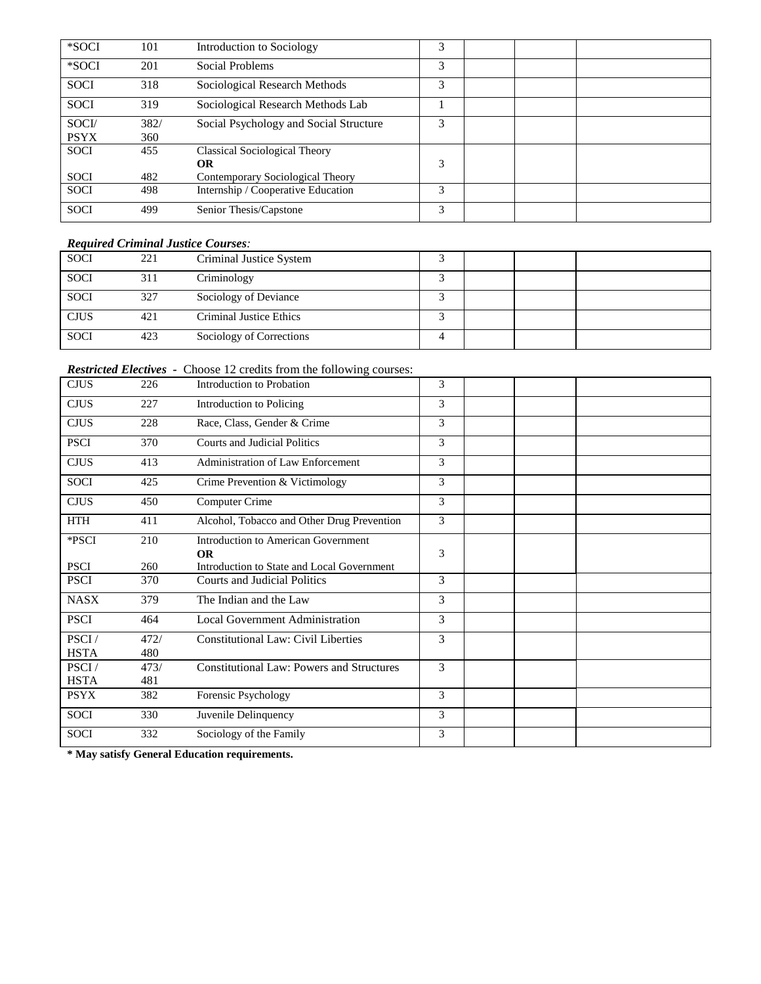| *SOCI       | 101  | Introduction to Sociology              | 3 |  |  |
|-------------|------|----------------------------------------|---|--|--|
| *SOCI       | 201  | Social Problems                        | 3 |  |  |
| <b>SOCI</b> | 318  | Sociological Research Methods          | 3 |  |  |
| <b>SOCI</b> | 319  | Sociological Research Methods Lab      |   |  |  |
| SOCI/       | 382/ | Social Psychology and Social Structure | 3 |  |  |
| <b>PSYX</b> | 360  |                                        |   |  |  |
| <b>SOCI</b> | 455  | Classical Sociological Theory          |   |  |  |
|             |      | OR                                     | 3 |  |  |
| <b>SOCI</b> | 482  | Contemporary Sociological Theory       |   |  |  |
| <b>SOCI</b> | 498  | Internship / Cooperative Education     | 3 |  |  |
| <b>SOCI</b> | 499  | Senior Thesis/Capstone                 | 3 |  |  |

### *Required Criminal Justice Courses:*

| <b>SOCI</b> | 221 | Criminal Justice System  |  |  |
|-------------|-----|--------------------------|--|--|
| <b>SOCI</b> | 311 | Criminology              |  |  |
| <b>SOCI</b> | 327 | Sociology of Deviance    |  |  |
| <b>CJUS</b> | 421 | Criminal Justice Ethics  |  |  |
| <b>SOCI</b> | 423 | Sociology of Corrections |  |  |

## *Restricted Electives -* Choose 12 credits from the following courses:

| <b>CJUS</b> | 226  | Introduction to Probation                               | 3 |  |  |
|-------------|------|---------------------------------------------------------|---|--|--|
| <b>CJUS</b> | 227  | Introduction to Policing                                | 3 |  |  |
| <b>CJUS</b> | 228  | Race, Class, Gender & Crime                             | 3 |  |  |
| <b>PSCI</b> | 370  | <b>Courts and Judicial Politics</b>                     | 3 |  |  |
| <b>CJUS</b> | 413  | Administration of Law Enforcement                       | 3 |  |  |
| <b>SOCI</b> | 425  | Crime Prevention & Victimology                          | 3 |  |  |
| <b>CJUS</b> | 450  | Computer Crime                                          | 3 |  |  |
| <b>HTH</b>  | 411  | Alcohol, Tobacco and Other Drug Prevention              | 3 |  |  |
| *PSCI       | 210  | Introduction to American Government                     |   |  |  |
| <b>PSCI</b> | 260  | <b>OR</b><br>Introduction to State and Local Government | 3 |  |  |
| <b>PSCI</b> | 370  | <b>Courts and Judicial Politics</b>                     | 3 |  |  |
| <b>NASX</b> | 379  | The Indian and the Law                                  | 3 |  |  |
| <b>PSCI</b> | 464  | Local Government Administration                         | 3 |  |  |
| PSCI/       | 472/ | <b>Constitutional Law: Civil Liberties</b>              | 3 |  |  |
| <b>HSTA</b> | 480  |                                                         |   |  |  |
| PSCI/       | 473/ | <b>Constitutional Law: Powers and Structures</b>        | 3 |  |  |
| <b>HSTA</b> | 481  |                                                         |   |  |  |
| <b>PSYX</b> | 382  | Forensic Psychology                                     | 3 |  |  |
| <b>SOCI</b> | 330  | Juvenile Delinquency                                    | 3 |  |  |
| SOCI        | 332  | Sociology of the Family                                 | 3 |  |  |

**\* May satisfy General Education requirements.**